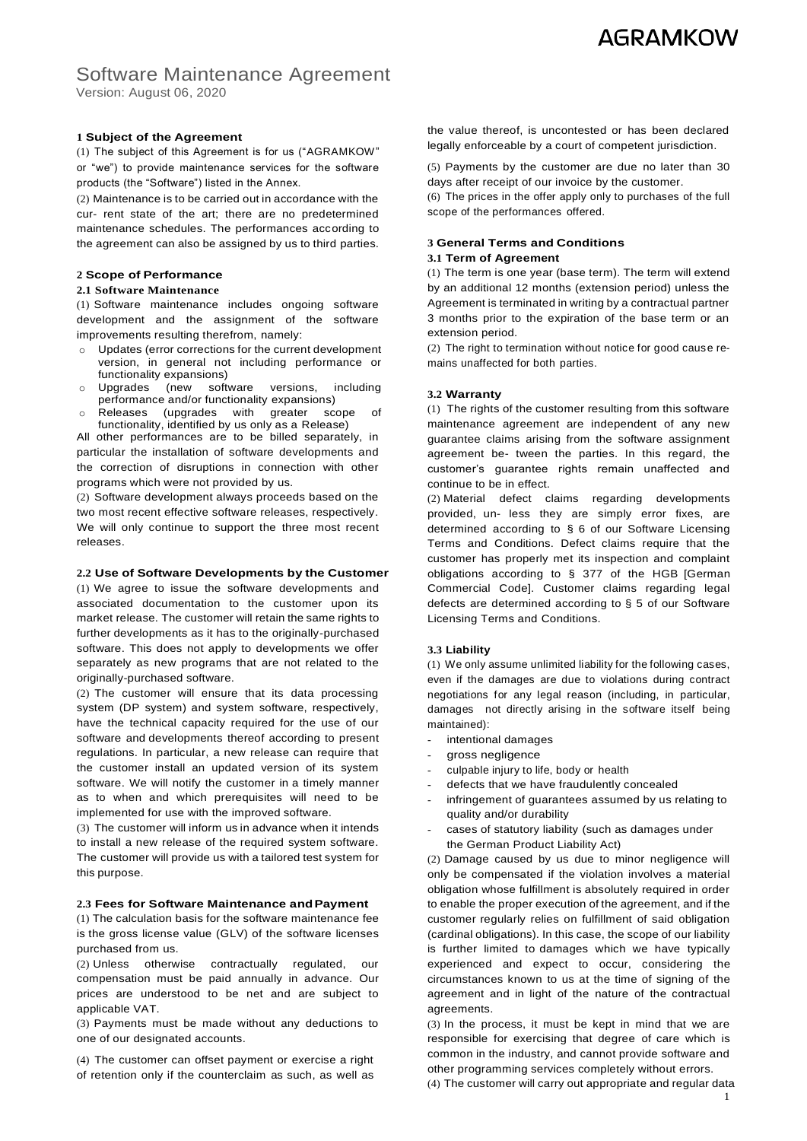## **AGRAMKOW**

## Software Maintenance Agreement

Version: August 06, 2020

#### **1 Subject of the Agreement**

(1) The subject of this Agreement is for us ("AGRAMKOW" or "we") to provide maintenance services for the software products (the "Software") listed in the Annex.

(2) Maintenance is to be carried out in accordance with the cur- rent state of the art; there are no predetermined maintenance schedules. The performances according to the agreement can also be assigned by us to third parties.

#### **2 Scope of Performance**

#### **2.1 Software Maintenance**

(1) Software maintenance includes ongoing software development and the assignment of the software improvements resulting therefrom, namely:

- o Updates (error corrections for the current development version, in general not including performance or functionality expansions)
- o Upgrades (new software versions, including performance and/or functionality expansions)
- o Releases (upgrades with greater scope of functionality, identified by us only as a Release)

All other performances are to be billed separately, in particular the installation of software developments and the correction of disruptions in connection with other programs which were not provided by us.

(2) Software development always proceeds based on the two most recent effective software releases, respectively. We will only continue to support the three most recent releases.

#### **2.2 Use of Software Developments by the Customer**

(1) We agree to issue the software developments and associated documentation to the customer upon its market release. The customer will retain the same rights to further developments as it has to the originally-purchased software. This does not apply to developments we offer separately as new programs that are not related to the originally-purchased software.

(2) The customer will ensure that its data processing system (DP system) and system software, respectively, have the technical capacity required for the use of our software and developments thereof according to present regulations. In particular, a new release can require that the customer install an updated version of its system software. We will notify the customer in a timely manner as to when and which prerequisites will need to be implemented for use with the improved software.

(3) The customer will inform us in advance when it intends to install a new release of the required system software. The customer will provide us with a tailored test system for this purpose.

#### **2.3 Fees for Software Maintenance andPayment**

(1) The calculation basis for the software maintenance fee is the gross license value (GLV) of the software licenses purchased from us.

(2) Unless otherwise contractually regulated, our compensation must be paid annually in advance. Our prices are understood to be net and are subject to applicable VAT.

(3) Payments must be made without any deductions to one of our designated accounts.

(4) The customer can offset payment or exercise a right of retention only if the counterclaim as such, as well as

the value thereof, is uncontested or has been declared legally enforceable by a court of competent jurisdiction.

(5) Payments by the customer are due no later than 30 days after receipt of our invoice by the customer.

(6) The prices in the offer apply only to purchases of the full scope of the performances offered.

## **3 General Terms and Conditions**

#### **3.1 Term of Agreement**

(1) The term is one year (base term). The term will extend by an additional 12 months (extension period) unless the Agreement is terminated in writing by a contractual partner 3 months prior to the expiration of the base term or an extension period.

(2) The right to termination without notice for good cause remains unaffected for both parties.

#### **3.2 Warranty**

(1) The rights of the customer resulting from this software maintenance agreement are independent of any new guarantee claims arising from the software assignment agreement be- tween the parties. In this regard, the customer's guarantee rights remain unaffected and continue to be in effect.

(2) Material defect claims regarding developments provided, un- less they are simply error fixes, are determined according to § 6 of our Software Licensing Terms and Conditions. Defect claims require that the customer has properly met its inspection and complaint obligations according to § 377 of the HGB [German Commercial Code]. Customer claims regarding legal defects are determined according to § 5 of our Software Licensing Terms and Conditions.

#### **3.3 Liability**

(1) We only assume unlimited liability for the following cases, even if the damages are due to violations during contract negotiations for any legal reason (including, in particular, damages not directly arising in the software itself being maintained):

- intentional damages
- gross negligence
- culpable injury to life, body or health
- defects that we have fraudulently concealed
- infringement of guarantees assumed by us relating to quality and/or durability
- cases of statutory liability (such as damages under the German Product Liability Act)

(2) Damage caused by us due to minor negligence will only be compensated if the violation involves a material obligation whose fulfillment is absolutely required in order to enable the proper execution of the agreement, and if the customer regularly relies on fulfillment of said obligation (cardinal obligations). In this case, the scope of our liability is further limited to damages which we have typically experienced and expect to occur, considering the circumstances known to us at the time of signing of the agreement and in light of the nature of the contractual agreements.

(3) In the process, it must be kept in mind that we are responsible for exercising that degree of care which is common in the industry, and cannot provide software and other programming services completely without errors.

(4) The customer will carry out appropriate and regular data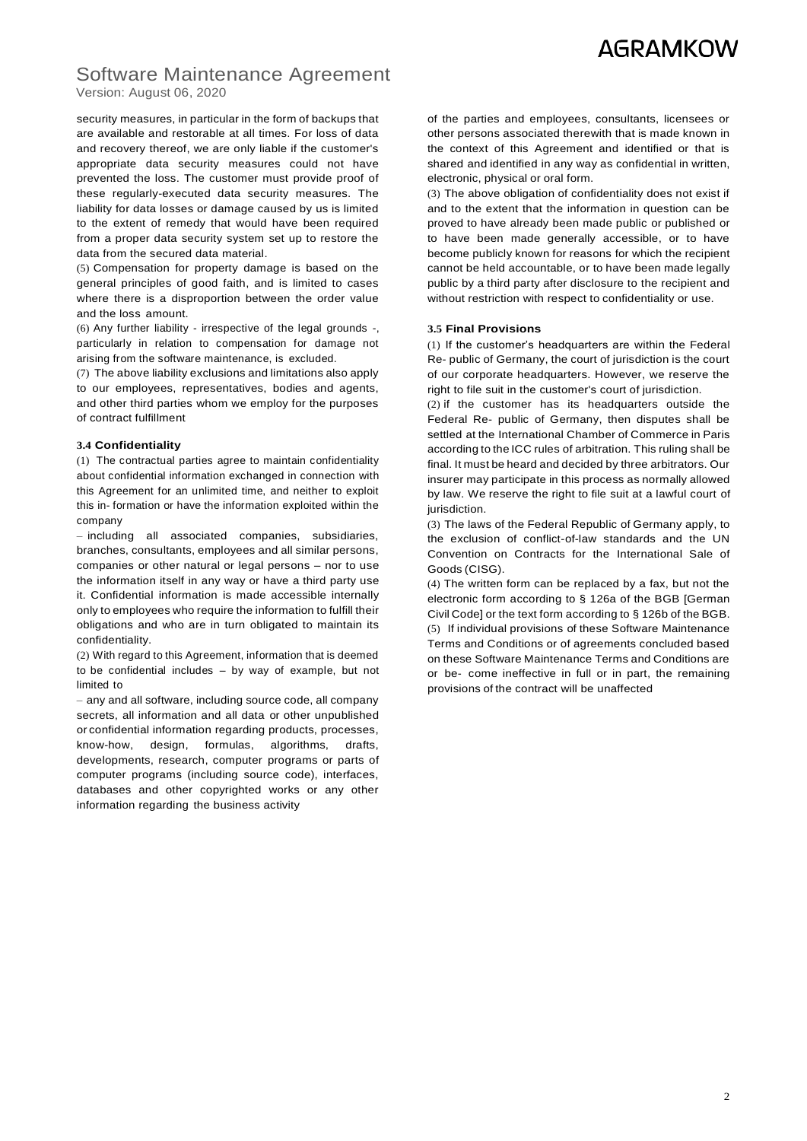# **AGRAMKOW**

### Software Maintenance Agreement Version: August 06, 2020

security measures, in particular in the form of backups that are available and restorable at all times. For loss of data and recovery thereof, we are only liable if the customer's appropriate data security measures could not have prevented the loss. The customer must provide proof of these regularly-executed data security measures. The liability for data losses or damage caused by us is limited to the extent of remedy that would have been required from a proper data security system set up to restore the data from the secured data material.

(5) Compensation for property damage is based on the general principles of good faith, and is limited to cases where there is a disproportion between the order value and the loss amount.

(6) Any further liability - irrespective of the legal grounds -, particularly in relation to compensation for damage not arising from the software maintenance, is excluded.

(7) The above liability exclusions and limitations also apply to our employees, representatives, bodies and agents, and other third parties whom we employ for the purposes of contract fulfillment

#### **3.4 Confidentiality**

(1) The contractual parties agree to maintain confidentiality about confidential information exchanged in connection with this Agreement for an unlimited time, and neither to exploit this in- formation or have the information exploited within the company

– including all associated companies, subsidiaries, branches, consultants, employees and all similar persons, companies or other natural or legal persons – nor to use the information itself in any way or have a third party use it. Confidential information is made accessible internally only to employees who require the information to fulfill their obligations and who are in turn obligated to maintain its confidentiality.

(2) With regard to this Agreement, information that is deemed to be confidential includes – by way of example, but not limited to

– any and all software, including source code, all company secrets, all information and all data or other unpublished or confidential information regarding products, processes, know-how, design, formulas, algorithms, drafts, developments, research, computer programs or parts of computer programs (including source code), interfaces, databases and other copyrighted works or any other information regarding the business activity

of the parties and employees, consultants, licensees or other persons associated therewith that is made known in the context of this Agreement and identified or that is shared and identified in any way as confidential in written, electronic, physical or oral form.

(3) The above obligation of confidentiality does not exist if and to the extent that the information in question can be proved to have already been made public or published or to have been made generally accessible, or to have become publicly known for reasons for which the recipient cannot be held accountable, or to have been made legally public by a third party after disclosure to the recipient and without restriction with respect to confidentiality or use.

#### **3.5 Final Provisions**

(1) If the customer's headquarters are within the Federal Re- public of Germany, the court of jurisdiction is the court of our corporate headquarters. However, we reserve the right to file suit in the customer's court of jurisdiction.

(2) if the customer has its headquarters outside the Federal Re- public of Germany, then disputes shall be settled at the International Chamber of Commerce in Paris according to the ICC rules of arbitration. This ruling shall be final. It must be heard and decided by three arbitrators. Our insurer may participate in this process as normally allowed by law. We reserve the right to file suit at a lawful court of jurisdiction.

(3) The laws of the Federal Republic of Germany apply, to the exclusion of conflict-of-law standards and the UN Convention on Contracts for the International Sale of Goods (CISG).

(4) The written form can be replaced by a fax, but not the electronic form according to § 126a of the BGB [German Civil Code] or the text form according to § 126b of the BGB. (5) If individual provisions of these Software Maintenance Terms and Conditions or of agreements concluded based on these Software Maintenance Terms and Conditions are or be- come ineffective in full or in part, the remaining provisions of the contract will be unaffected